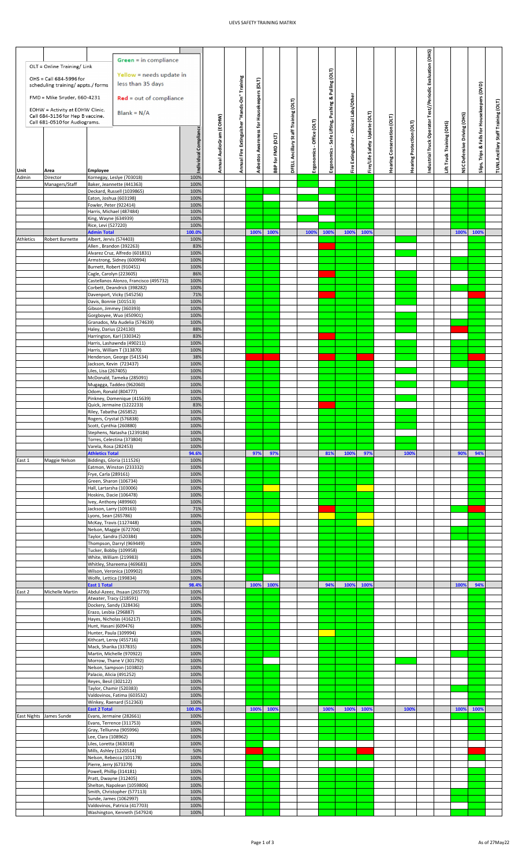## UEVS SAFETY TRAINING MATRIX

|        |           | OLT = Online Training/ Link                                                                                                                                                                                 |                                                     | Green = in compliance                                         |                       |                         |                                              |                                           |                   |                                      |                           |                                                    |                                         |                               |                            |                          |                                                          |                           |                             |                                             |                                     |  |  |
|--------|-----------|-------------------------------------------------------------------------------------------------------------------------------------------------------------------------------------------------------------|-----------------------------------------------------|---------------------------------------------------------------|-----------------------|-------------------------|----------------------------------------------|-------------------------------------------|-------------------|--------------------------------------|---------------------------|----------------------------------------------------|-----------------------------------------|-------------------------------|----------------------------|--------------------------|----------------------------------------------------------|---------------------------|-----------------------------|---------------------------------------------|-------------------------------------|--|--|
|        |           | OHS = Call 684-5996 for                                                                                                                                                                                     |                                                     | Yellow = needs update in                                      |                       |                         |                                              |                                           |                   |                                      |                           |                                                    |                                         |                               |                            |                          |                                                          |                           |                             |                                             |                                     |  |  |
|        |           | less than 35 days<br>scheduling training/ appts./ forms<br>FMD = Mike Snyder, 660-4231<br>$Red = out of compliance$<br>EOHW = Activity at EOHW Clinic.<br>$Blank = N/A$<br>Call 684-3136 for Hep B vaccine. |                                                     |                                                               |                       |                         |                                              |                                           |                   |                                      |                           |                                                    |                                         |                               |                            |                          |                                                          |                           |                             |                                             |                                     |  |  |
|        |           |                                                                                                                                                                                                             |                                                     |                                                               |                       |                         |                                              |                                           |                   |                                      |                           |                                                    |                                         |                               |                            |                          |                                                          |                           |                             |                                             |                                     |  |  |
|        |           |                                                                                                                                                                                                             |                                                     |                                                               |                       |                         |                                              |                                           |                   |                                      |                           |                                                    |                                         |                               |                            |                          |                                                          |                           |                             |                                             |                                     |  |  |
|        |           | Call 681-0510 for Audiograms.                                                                                                                                                                               |                                                     |                                                               |                       | Annual AudioGram (EOHW) | Annual Fire Extinguisher "Hands-On" Training | Asbestos Awareness for Housekeepers (OLT) |                   | DFELL Ancillary Staff Training (OLT) |                           | Ergonomics - Safe Lifting, Pushing & Pulling (OLT) | Fire Extinguisher - Clinical Labs/Other | Fire/Life Safety Update (OLT) | learing Conservation (OLT) |                          | ndustrial Truck Operator Test//Periodic Evaluation (OHS) |                           | NSC Defensive Driving (OHS) | Slips, Trips & Falls for Housekeepers (DVD) | TUNL Ancillary Staff Training (OLT) |  |  |
|        |           |                                                                                                                                                                                                             |                                                     |                                                               | Individual Compliance |                         |                                              |                                           |                   |                                      | Ergonomics - Office (OLT) |                                                    |                                         |                               |                            | Hearing Protection (OLT) |                                                          | Lift Truck Training (OHS) |                             |                                             |                                     |  |  |
|        |           |                                                                                                                                                                                                             |                                                     |                                                               |                       |                         |                                              |                                           |                   |                                      |                           |                                                    |                                         |                               |                            |                          |                                                          |                           |                             |                                             |                                     |  |  |
|        |           |                                                                                                                                                                                                             |                                                     |                                                               |                       |                         |                                              |                                           |                   |                                      |                           |                                                    |                                         |                               |                            |                          |                                                          |                           |                             |                                             |                                     |  |  |
| Unit   |           | Area                                                                                                                                                                                                        | Employee                                            |                                                               |                       |                         |                                              |                                           | BBP for FMD (OLT) |                                      |                           |                                                    |                                         |                               |                            |                          |                                                          |                           |                             |                                             |                                     |  |  |
| Admin  |           | Director                                                                                                                                                                                                    |                                                     | Kornegay, Leslye (703018)                                     | 100%                  |                         |                                              |                                           |                   |                                      |                           |                                                    |                                         |                               |                            |                          |                                                          |                           |                             |                                             |                                     |  |  |
|        |           | Managers/Staff                                                                                                                                                                                              |                                                     | Baker, Jeannette (441363)<br>Deckard, Russell (1039865)       | 100%<br>100%          |                         |                                              |                                           |                   |                                      |                           |                                                    |                                         |                               |                            |                          |                                                          |                           |                             |                                             |                                     |  |  |
|        |           |                                                                                                                                                                                                             | Eaton, Joshua (603198)<br>Fowler, Peter (922414)    |                                                               | 100%<br>100%          |                         |                                              |                                           |                   |                                      |                           |                                                    |                                         |                               |                            |                          |                                                          |                           |                             |                                             |                                     |  |  |
|        |           |                                                                                                                                                                                                             | Harris, Michael (487484)                            |                                                               | 100%                  |                         |                                              |                                           |                   |                                      |                           |                                                    |                                         |                               |                            |                          |                                                          |                           |                             |                                             |                                     |  |  |
|        |           |                                                                                                                                                                                                             | King, Wayne (634939)<br>Rice, Levi (527220)         |                                                               | 100%<br>100%          |                         |                                              |                                           |                   |                                      |                           |                                                    |                                         |                               |                            |                          |                                                          |                           |                             |                                             |                                     |  |  |
|        | Athletics | Robert Burnette                                                                                                                                                                                             | <b>Admin Total</b><br>Albert, Jervis (574403)       |                                                               | 100.0%<br>100%        |                         |                                              | 100%                                      | 1009              |                                      | 100%                      | 100%                                               | 100%                                    | 100%                          |                            |                          |                                                          |                           | 100%                        | 100%                                        |                                     |  |  |
|        |           |                                                                                                                                                                                                             | Allen, Brandon (392263)                             |                                                               | 83%                   |                         |                                              |                                           |                   |                                      |                           |                                                    |                                         |                               |                            |                          |                                                          |                           |                             |                                             |                                     |  |  |
|        |           |                                                                                                                                                                                                             |                                                     | Alvarez Cruz, Alfredo (601831)<br>Armstrong, Sidney (600994)  | 100%<br>100%          |                         |                                              |                                           |                   |                                      |                           |                                                    |                                         |                               |                            |                          |                                                          |                           |                             |                                             |                                     |  |  |
|        |           |                                                                                                                                                                                                             | Burnett, Robert (910451)<br>Cagle, Carolyn (223605) |                                                               | 100%<br>86%           |                         |                                              |                                           |                   |                                      |                           |                                                    |                                         |                               |                            |                          |                                                          |                           |                             |                                             |                                     |  |  |
|        |           |                                                                                                                                                                                                             |                                                     | Castellanos Alonzo, Francisco (495732)                        | 100%                  |                         |                                              |                                           |                   |                                      |                           |                                                    |                                         |                               |                            |                          |                                                          |                           |                             |                                             |                                     |  |  |
|        |           |                                                                                                                                                                                                             |                                                     | Corbett, Deandrick (398282)<br>Davenport, Vicky (545256)      | 100%<br>71%           |                         |                                              |                                           |                   |                                      |                           |                                                    |                                         |                               |                            |                          |                                                          |                           |                             |                                             |                                     |  |  |
|        |           |                                                                                                                                                                                                             | Davis, Bonnie (101513)<br>Gibson, Jimmey (360393)   |                                                               | 100%<br>100%          |                         |                                              |                                           |                   |                                      |                           |                                                    |                                         |                               |                            |                          |                                                          |                           |                             |                                             |                                     |  |  |
|        |           |                                                                                                                                                                                                             |                                                     | Gorgboyee, Wuo (450901)                                       | 100%                  |                         |                                              |                                           |                   |                                      |                           |                                                    |                                         |                               |                            |                          |                                                          |                           |                             |                                             |                                     |  |  |
|        |           |                                                                                                                                                                                                             | Haley, Darius (224130)                              | Granados, Ma Audelia (574639)                                 | 100%<br>88%           |                         |                                              |                                           |                   |                                      |                           |                                                    |                                         |                               |                            |                          |                                                          |                           |                             |                                             |                                     |  |  |
|        |           |                                                                                                                                                                                                             |                                                     | Harrington, Karl (330342)<br>Harris, Lashawnda (490211)       | 83%<br>100%           |                         |                                              |                                           |                   |                                      |                           |                                                    |                                         |                               |                            |                          |                                                          |                           |                             |                                             |                                     |  |  |
|        |           |                                                                                                                                                                                                             |                                                     | Harris, William T (313870)                                    | 100%                  |                         |                                              |                                           |                   |                                      |                           |                                                    |                                         |                               |                            |                          |                                                          |                           |                             |                                             |                                     |  |  |
|        |           |                                                                                                                                                                                                             | Jackson, Kevin (723437)                             | Henderson, George (541534)                                    | 38%<br>100%           |                         |                                              |                                           |                   |                                      |                           |                                                    |                                         |                               |                            |                          |                                                          |                           |                             |                                             |                                     |  |  |
|        |           |                                                                                                                                                                                                             | Liles, Lisa (267405)                                |                                                               | 100%                  |                         |                                              |                                           |                   |                                      |                           |                                                    |                                         |                               |                            |                          |                                                          |                           |                             |                                             |                                     |  |  |
|        |           |                                                                                                                                                                                                             |                                                     | McDonald, Tameka (285091)<br>Mugagga, Taddeo (962060)         | 100%<br>100%          |                         |                                              |                                           |                   |                                      |                           |                                                    |                                         |                               |                            |                          |                                                          |                           |                             |                                             |                                     |  |  |
|        |           |                                                                                                                                                                                                             | Odom, Ronald (804777)                               | Pinkney, Domenique (415639)                                   | 100%<br>100%          |                         |                                              |                                           |                   |                                      |                           |                                                    |                                         |                               |                            |                          |                                                          |                           |                             |                                             |                                     |  |  |
|        |           |                                                                                                                                                                                                             |                                                     | Quick, Jermaine (1222233)                                     | 83%                   |                         |                                              |                                           |                   |                                      |                           |                                                    |                                         |                               |                            |                          |                                                          |                           |                             |                                             |                                     |  |  |
|        |           |                                                                                                                                                                                                             | Riley, Tabatha (265852)<br>Rogers, Crystal (576838) |                                                               | 100%<br>100%          |                         |                                              |                                           |                   |                                      |                           |                                                    |                                         |                               |                            |                          |                                                          |                           |                             |                                             |                                     |  |  |
|        |           |                                                                                                                                                                                                             | Scott, Cynthia (260880)                             |                                                               | 100%                  |                         |                                              |                                           |                   |                                      |                           |                                                    |                                         |                               |                            |                          |                                                          |                           |                             |                                             |                                     |  |  |
|        |           |                                                                                                                                                                                                             |                                                     |                                                               |                       |                         |                                              |                                           |                   |                                      |                           |                                                    |                                         |                               |                            |                          |                                                          |                           |                             |                                             |                                     |  |  |
|        |           |                                                                                                                                                                                                             |                                                     | Stephens, Natasha (1239184)<br>Torres, Celestina (373804)     | 100%<br>100%          |                         |                                              |                                           |                   |                                      |                           |                                                    |                                         |                               |                            |                          |                                                          |                           |                             |                                             |                                     |  |  |
|        |           |                                                                                                                                                                                                             | Varela, Rosa (282453)<br><b>Athletics Total</b>     |                                                               | 100%<br>94.6%         |                         |                                              | 97%                                       | 97%               |                                      |                           | 81%                                                | 100%                                    | 97%                           |                            | 1009                     |                                                          |                           | 90%                         | 94%                                         |                                     |  |  |
| East 1 |           | Maggie Nelson                                                                                                                                                                                               | Biddings, Gloria (111526)                           |                                                               | 100%                  |                         |                                              |                                           |                   |                                      |                           |                                                    |                                         |                               |                            |                          |                                                          |                           |                             |                                             |                                     |  |  |
|        |           |                                                                                                                                                                                                             | Frye, Carla (289161)                                | Eatmon, Winston (233332)                                      | 100%<br>100%          |                         |                                              |                                           |                   |                                      |                           |                                                    |                                         |                               |                            |                          |                                                          |                           |                             |                                             |                                     |  |  |
|        |           |                                                                                                                                                                                                             | Green, Sharon (106734)<br>Hall, Lartarsha (103006)  |                                                               | 100%<br>100%          |                         |                                              |                                           |                   |                                      |                           |                                                    |                                         |                               |                            |                          |                                                          |                           |                             |                                             |                                     |  |  |
|        |           |                                                                                                                                                                                                             | Hoskins, Dacie (106478)                             |                                                               | 100%                  |                         |                                              |                                           |                   |                                      |                           |                                                    |                                         |                               |                            |                          |                                                          |                           |                             |                                             |                                     |  |  |
|        |           |                                                                                                                                                                                                             | Ivey, Anthony (489960)<br>Jackson, Larry (109163)   |                                                               | 100%<br>71%           |                         |                                              |                                           |                   |                                      |                           |                                                    |                                         |                               |                            |                          |                                                          |                           |                             |                                             |                                     |  |  |
|        |           |                                                                                                                                                                                                             | Lyons, Sean (265786)<br>McKay, Travis (1127448)     |                                                               | 100%<br>100%          |                         |                                              |                                           |                   |                                      |                           |                                                    |                                         |                               |                            |                          |                                                          |                           |                             |                                             |                                     |  |  |
|        |           |                                                                                                                                                                                                             | Nelson, Maggie (672704)                             |                                                               | 100%                  |                         |                                              |                                           |                   |                                      |                           |                                                    |                                         |                               |                            |                          |                                                          |                           |                             |                                             |                                     |  |  |
|        |           |                                                                                                                                                                                                             | Taylor, Sandra (520384)                             | Thompson, Darryl (969449)                                     | 100%<br>100%          |                         |                                              |                                           |                   |                                      |                           |                                                    |                                         |                               |                            |                          |                                                          |                           |                             |                                             |                                     |  |  |
|        |           |                                                                                                                                                                                                             | Tucker, Bobby (109958)<br>White, William (219983)   |                                                               | 100%<br>100%          |                         |                                              |                                           |                   |                                      |                           |                                                    |                                         |                               |                            |                          |                                                          |                           |                             |                                             |                                     |  |  |
|        |           |                                                                                                                                                                                                             |                                                     | Whitley, Shareema (469683)                                    | 100%                  |                         |                                              |                                           |                   |                                      |                           |                                                    |                                         |                               |                            |                          |                                                          |                           |                             |                                             |                                     |  |  |
|        |           |                                                                                                                                                                                                             | Wolfe, Lettica (199834)                             | Wilson, Veronica (109902)                                     | 100%<br>100%          |                         |                                              |                                           |                   |                                      |                           |                                                    |                                         |                               |                            |                          |                                                          |                           |                             |                                             |                                     |  |  |
| East 2 |           | Michelle Martin                                                                                                                                                                                             | <b>East 1 Total</b>                                 | Abdul-Azeez, Ihsaan (265770)                                  | 98.4%<br>100%         |                         |                                              | 100%                                      | 100%              |                                      |                           | 94%                                                | 100%                                    | 100%                          |                            |                          |                                                          |                           | 100%                        | 94%                                         |                                     |  |  |
|        |           |                                                                                                                                                                                                             | Atwater, Tracy (218591)                             |                                                               | 100%                  |                         |                                              |                                           |                   |                                      |                           |                                                    |                                         |                               |                            |                          |                                                          |                           |                             |                                             |                                     |  |  |
|        |           |                                                                                                                                                                                                             | Dockery, Sandy (328436)<br>Erazo, Lesbia (296887)   |                                                               | 100%<br>100%          |                         |                                              |                                           |                   |                                      |                           |                                                    |                                         |                               |                            |                          |                                                          |                           |                             |                                             |                                     |  |  |
|        |           |                                                                                                                                                                                                             | Hunt, Hasani (609476)                               | Hayes, Nicholas (416217)                                      | 100%<br>100%          |                         |                                              |                                           |                   |                                      |                           |                                                    |                                         |                               |                            |                          |                                                          |                           |                             |                                             |                                     |  |  |
|        |           |                                                                                                                                                                                                             | Hunter, Paula (109994)                              |                                                               | 100%                  |                         |                                              |                                           |                   |                                      |                           |                                                    |                                         |                               |                            |                          |                                                          |                           |                             |                                             |                                     |  |  |
|        |           |                                                                                                                                                                                                             | Kithcart, Leroy (455716)<br>Mack, Sharika (337835)  |                                                               | 100%<br>100%          |                         |                                              |                                           |                   |                                      |                           |                                                    |                                         |                               |                            |                          |                                                          |                           |                             |                                             |                                     |  |  |
|        |           |                                                                                                                                                                                                             |                                                     | Martin, Michelle (970922)<br>Morrow, Thane V (301792)         | 100%<br>100%          |                         |                                              |                                           |                   |                                      |                           |                                                    |                                         |                               |                            |                          |                                                          |                           |                             |                                             |                                     |  |  |
|        |           |                                                                                                                                                                                                             |                                                     | Nelson, Sampson (103802)                                      | 100%                  |                         |                                              |                                           |                   |                                      |                           |                                                    |                                         |                               |                            |                          |                                                          |                           |                             |                                             |                                     |  |  |
|        |           |                                                                                                                                                                                                             | Palacio, Alicia (491252)<br>Reyes, Besil (302122)   |                                                               | 100%<br>100%          |                         |                                              |                                           |                   |                                      |                           |                                                    |                                         |                               |                            |                          |                                                          |                           |                             |                                             |                                     |  |  |
|        |           |                                                                                                                                                                                                             | Taylor, Chamir (520383)                             | Valdovinos, Fatima (603532)                                   | 100%<br>100%          |                         |                                              |                                           |                   |                                      |                           |                                                    |                                         |                               |                            |                          |                                                          |                           |                             |                                             |                                     |  |  |
|        |           |                                                                                                                                                                                                             |                                                     | Winkey, Raenard (512363)                                      | 100%                  |                         |                                              |                                           |                   |                                      |                           |                                                    |                                         |                               |                            |                          |                                                          |                           |                             |                                             |                                     |  |  |
|        |           | East Nights James Sunde                                                                                                                                                                                     | <b>East 2 Total</b>                                 | Evans, Jermaine (282661)                                      | 100.0%<br>100%        |                         |                                              | 100% 100%                                 |                   |                                      |                           | 100%                                               | 100% 100%                               |                               |                            | 1009                     |                                                          |                           | 100%                        | 100%                                        |                                     |  |  |
|        |           |                                                                                                                                                                                                             |                                                     | Evans, Terrence (311753)                                      | 100%                  |                         |                                              |                                           |                   |                                      |                           |                                                    |                                         |                               |                            |                          |                                                          |                           |                             |                                             |                                     |  |  |
|        |           |                                                                                                                                                                                                             | Gray, Telliunna (905996)<br>Lee, Clara (108962)     |                                                               | 100%<br>100%          |                         |                                              |                                           |                   |                                      |                           |                                                    |                                         |                               |                            |                          |                                                          |                           |                             |                                             |                                     |  |  |
|        |           |                                                                                                                                                                                                             | Liles, Loretta (363018)<br>Mills, Ashley (1220514)  |                                                               | 100%<br>50%           |                         |                                              |                                           |                   |                                      |                           |                                                    |                                         |                               |                            |                          |                                                          |                           |                             |                                             |                                     |  |  |
|        |           |                                                                                                                                                                                                             |                                                     | Nelson, Rebecca (101178)                                      | 100%                  |                         |                                              |                                           |                   |                                      |                           |                                                    |                                         |                               |                            |                          |                                                          |                           |                             |                                             |                                     |  |  |
|        |           |                                                                                                                                                                                                             | Pierre, Jerry (673379)<br>Powell, Phillip (314181)  |                                                               | 100%<br>100%          |                         |                                              |                                           |                   |                                      |                           |                                                    |                                         |                               |                            |                          |                                                          |                           |                             |                                             |                                     |  |  |
|        |           |                                                                                                                                                                                                             | Pratt, Dwayne (312405)                              | Shelton, Napolean (1059806)                                   | 100%<br>100%          |                         |                                              |                                           |                   |                                      |                           |                                                    |                                         |                               |                            |                          |                                                          |                           |                             |                                             |                                     |  |  |
|        |           |                                                                                                                                                                                                             |                                                     | Smith, Christopher (577113)                                   | 100%                  |                         |                                              |                                           |                   |                                      |                           |                                                    |                                         |                               |                            |                          |                                                          |                           |                             |                                             |                                     |  |  |
|        |           |                                                                                                                                                                                                             | Sunde, James (1062997)                              | Valdovinos, Patricia (417703)<br>Washington, Kenneth (547924) | 100%<br>100%<br>100%  |                         |                                              |                                           |                   |                                      |                           |                                                    |                                         |                               |                            |                          |                                                          |                           |                             |                                             |                                     |  |  |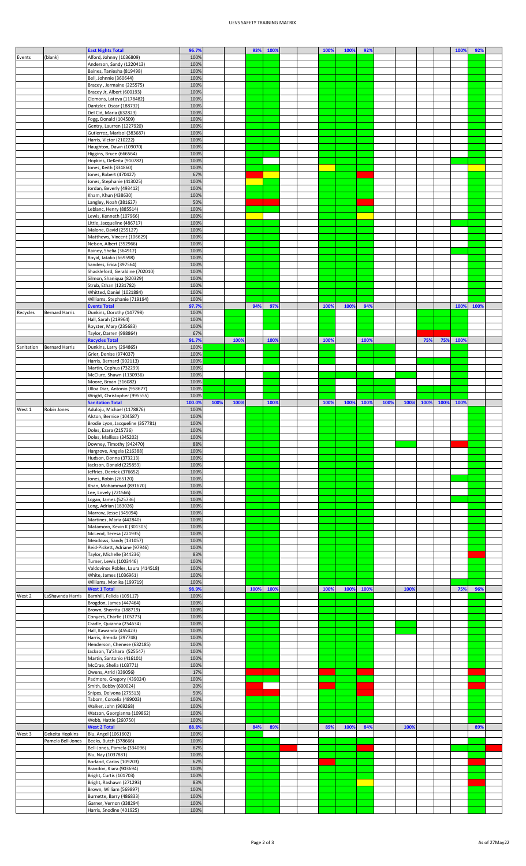## UEVS SAFETY TRAINING MATRIX

|            |                       | <b>East Nights Total</b>                                     | 96.7%         |      |      | 93%  | 100% |  | 100% | 100% | 92%  |      |      |      |      | 100% | 92%  |  |
|------------|-----------------------|--------------------------------------------------------------|---------------|------|------|------|------|--|------|------|------|------|------|------|------|------|------|--|
| Events     | (blank)               | Alford, Johnny (1036809)                                     | 100%          |      |      |      |      |  |      |      |      |      |      |      |      |      |      |  |
|            |                       | Anderson, Sandy (1220413)<br>Baines, Taniesha (819498)       | 100%<br>100%  |      |      |      |      |  |      |      |      |      |      |      |      |      |      |  |
|            |                       | Bell, Johnnie (360644)                                       | 100%          |      |      |      |      |  |      |      |      |      |      |      |      |      |      |  |
|            |                       | Bracey, Jermaine (225575)                                    | 100%          |      |      |      |      |  |      |      |      |      |      |      |      |      |      |  |
|            |                       | Bracey Jr, Albert (600193)                                   | 100%          |      |      |      |      |  |      |      |      |      |      |      |      |      |      |  |
|            |                       | Clemons, Latoya (1178482)<br>Dantzler, Oscar (188732)        | 100%<br>100%  |      |      |      |      |  |      |      |      |      |      |      |      |      |      |  |
|            |                       | Del Cid, Maria (632823)                                      | 100%          |      |      |      |      |  |      |      |      |      |      |      |      |      |      |  |
|            |                       | Fogg, Donald (104509)                                        | 100%          |      |      |      |      |  |      |      |      |      |      |      |      |      |      |  |
|            |                       | Gentry, Laurren (1227920)<br>Gutierrez, Marisol (383687)     | 100%<br>100%  |      |      |      |      |  |      |      |      |      |      |      |      |      |      |  |
|            |                       | Harris, Victor (210222)                                      | 100%          |      |      |      |      |  |      |      |      |      |      |      |      |      |      |  |
|            |                       | Haughton, Dawn (109070)                                      | 100%          |      |      |      |      |  |      |      |      |      |      |      |      |      |      |  |
|            |                       | Higgins, Bruce (666564)<br>Hopkins, DeKeita (910782)         | 100%<br>100%  |      |      |      |      |  |      |      |      |      |      |      |      |      |      |  |
|            |                       | Jones, Keith (334860)                                        | 100%          |      |      |      |      |  |      |      |      |      |      |      |      |      |      |  |
|            |                       | Jones, Robert (470427)                                       | 67%           |      |      |      |      |  |      |      |      |      |      |      |      |      |      |  |
|            |                       | Jones, Stephanie (413025)<br>Jordan, Beverly (493412)        | 100%<br>100%  |      |      |      |      |  |      |      |      |      |      |      |      |      |      |  |
|            |                       | Kham, Khun (438630)                                          | 100%          |      |      |      |      |  |      |      |      |      |      |      |      |      |      |  |
|            |                       | Langley, Noah (381627)                                       | 50%           |      |      |      |      |  |      |      |      |      |      |      |      |      |      |  |
|            |                       | Leblanc, Henry (885514)<br>Lewis, Kenneth (107966)           | 100%<br>100%  |      |      |      |      |  |      |      |      |      |      |      |      |      |      |  |
|            |                       | Little, Jacqueline (486717)                                  | 100%          |      |      |      |      |  |      |      |      |      |      |      |      |      |      |  |
|            |                       | Malone, David (255127)                                       | 100%          |      |      |      |      |  |      |      |      |      |      |      |      |      |      |  |
|            |                       | Matthews, Vincent (106629)                                   | 100%<br>100%  |      |      |      |      |  |      |      |      |      |      |      |      |      |      |  |
|            |                       | Nelson, Albert (352966)<br>Rainey, Shelia (364912)           | 100%          |      |      |      |      |  |      |      |      |      |      |      |      |      |      |  |
|            |                       | Royal, Jatako (669598)                                       | 100%          |      |      |      |      |  |      |      |      |      |      |      |      |      |      |  |
|            |                       | Sanders, Erica (397564)                                      | 100%          |      |      |      |      |  |      |      |      |      |      |      |      |      |      |  |
|            |                       | Shackleford, Geraldine (702010)<br>Silmon, Shaniqua (820329) | 100%<br>100%  |      |      |      |      |  |      |      |      |      |      |      |      |      |      |  |
|            |                       | Strub, Ethan (1231782)                                       | 100%          |      |      |      |      |  |      |      |      |      |      |      |      |      |      |  |
|            |                       | Whitted, Daniel (1021884)                                    | 100%          |      |      |      |      |  |      |      |      |      |      |      |      |      |      |  |
|            |                       | Williams, Stephanie (719194)<br><b>Events Total</b>          | 100%<br>97.7% |      |      | 94%  | 97%  |  | 100% | 100% | 94%  |      |      |      |      | 100% | 100% |  |
| Recycles   | <b>Bernard Harris</b> | Dunkins, Dorothy (147798)                                    | 100%          |      |      |      |      |  |      |      |      |      |      |      |      |      |      |  |
|            |                       | Hall, Sarah (219964)                                         | 100%          |      |      |      |      |  |      |      |      |      |      |      |      |      |      |  |
|            |                       | Royster, Mary (235683)<br>Taylor, Darren (998864)            | 100%<br>67%   |      |      |      |      |  |      |      |      |      |      |      |      |      |      |  |
|            |                       | <b>Recycles Total</b>                                        | 91.7%         |      | 100% |      | 1009 |  | 100% |      | 100% |      |      | 75%  | 75%  | 1009 |      |  |
| Sanitation | <b>Bernard Harris</b> | Dunkins, Larry (294865)                                      | 100%          |      |      |      |      |  |      |      |      |      |      |      |      |      |      |  |
|            |                       | Grier, Denise (974037)                                       | 100%          |      |      |      |      |  |      |      |      |      |      |      |      |      |      |  |
|            |                       | Harris, Bernard (902113)<br>Martin, Cephus (732299)          | 100%<br>100%  |      |      |      |      |  |      |      |      |      |      |      |      |      |      |  |
|            |                       | McClure, Shawn (1130936)                                     | 100%          |      |      |      |      |  |      |      |      |      |      |      |      |      |      |  |
|            |                       | Moore, Bryan (316082)                                        | 100%          |      |      |      |      |  |      |      |      |      |      |      |      |      |      |  |
|            |                       | Ulloa Diaz, Antonio (958677)<br>Wright, Christopher (995555) | 100%<br>100%  |      |      |      |      |  |      |      |      |      |      |      |      |      |      |  |
|            |                       | <b>Sanitation Total</b>                                      | 100.0%        | 1009 | 100% |      | 100% |  | 100% | 100% | 100% | 100% | 100% | 100% | 100% | 100% |      |  |
| West 1     | Robin Jones           | Aduloju, Michael (1178876)                                   | 100%          |      |      |      |      |  |      |      |      |      |      |      |      |      |      |  |
|            |                       | Alston, Bernice (104587)<br>Brodie Lyon, Jacqueline (357781) | 100%<br>100%  |      |      |      |      |  |      |      |      |      |      |      |      |      |      |  |
|            |                       | Doles, Ezara (215736)                                        |               |      |      |      |      |  |      |      |      |      |      |      |      |      |      |  |
|            |                       |                                                              |               |      |      |      |      |  |      |      |      |      |      |      |      |      |      |  |
|            |                       | Doles, Mallissa (345202)                                     | 100%<br>100%  |      |      |      |      |  |      |      |      |      |      |      |      |      |      |  |
|            |                       | Downey, Timothy (942470)                                     | 88%           |      |      |      |      |  |      |      |      |      |      |      |      |      |      |  |
|            |                       | Hargrove, Angela (216388)                                    | 100%          |      |      |      |      |  |      |      |      |      |      |      |      |      |      |  |
|            |                       | Hudson, Donna (373213)<br>Jackson, Donald (225859)           | 100%<br>100%  |      |      |      |      |  |      |      |      |      |      |      |      |      |      |  |
|            |                       | Jeffries, Derrick (376652)                                   | 100%          |      |      |      |      |  |      |      |      |      |      |      |      |      |      |  |
|            |                       | Jones, Robin (265120)                                        | 100%          |      |      |      |      |  |      |      |      |      |      |      |      |      |      |  |
|            |                       | Khan, Mohammad (891670)<br>Lee, Lovely (721566)              | 100%<br>100%  |      |      |      |      |  |      |      |      |      |      |      |      |      |      |  |
|            |                       | Logan, James (525736)                                        | 100%          |      |      |      |      |  |      |      |      |      |      |      |      |      |      |  |
|            |                       | Long, Adrian (183026)                                        | 100%          |      |      |      |      |  |      |      |      |      |      |      |      |      |      |  |
|            |                       | Marrow, Jesse (345094)<br>Martinez, Maria (442840)           | 100%<br>100%  |      |      |      |      |  |      |      |      |      |      |      |      |      |      |  |
|            |                       | Matamoro, Kevin K (301305)                                   | 100%          |      |      |      |      |  |      |      |      |      |      |      |      |      |      |  |
|            |                       | McLeod, Teresa (221935)                                      | 100%          |      |      |      |      |  |      |      |      |      |      |      |      |      |      |  |
|            |                       | Meadows, Sandy (131057)<br>Reid-Pickett, Adriane (97946)     | 100%<br>100%  |      |      |      |      |  |      |      |      |      |      |      |      |      |      |  |
|            |                       | Taylor, Michelle (344236)                                    | 83%           |      |      |      |      |  |      |      |      |      |      |      |      |      |      |  |
|            |                       | Turner, Lewis (1003446)                                      | 100%          |      |      |      |      |  |      |      |      |      |      |      |      |      |      |  |
|            |                       | Valdovinos Robles, Laura (414518)                            | 100%<br>100%  |      |      |      |      |  |      |      |      |      |      |      |      |      |      |  |
|            |                       | White, James (1036961)<br>Williams, Monika (199719)          | 100%          |      |      |      |      |  |      |      |      |      |      |      |      |      |      |  |
|            |                       | <b>West 1 Total</b>                                          | 98.9%         |      |      | 100% | 100% |  | 100% | 100% | 100% |      | 100% |      |      | 75%  | 96%  |  |
| West 2     | LaShawnda Harris      | Barnhill, Felicia (109117)                                   | 100%<br>100%  |      |      |      |      |  |      |      |      |      |      |      |      |      |      |  |
|            |                       | Brogdon, James (447464)<br>Brown, Sherrita (188719)          | 100%          |      |      |      |      |  |      |      |      |      |      |      |      |      |      |  |
|            |                       | Conyers, Charlie (105273)                                    | 100%          |      |      |      |      |  |      |      |      |      |      |      |      |      |      |  |
|            |                       | Cradle, Quianna (254634)                                     | 100%          |      |      |      |      |  |      |      |      |      |      |      |      |      |      |  |
|            |                       | Hall, Kawanda (455423)<br>Harris, Brenda (297748)            | 100%<br>100%  |      |      |      |      |  |      |      |      |      |      |      |      |      |      |  |
|            |                       | Henderson, Chenese (632185)                                  | 100%          |      |      |      |      |  |      |      |      |      |      |      |      |      |      |  |
|            |                       | Jackson, Ta'Shara (525547)                                   | 100%          |      |      |      |      |  |      |      |      |      |      |      |      |      |      |  |
|            |                       | Martin, Santonio (416101)<br>McCrae, Shelia (103771)         | 100%<br>100%  |      |      |      |      |  |      |      |      |      |      |      |      |      |      |  |
|            |                       | Owens, Arrid (339056)                                        | 17%           |      |      |      |      |  |      |      |      |      |      |      |      |      |      |  |
|            |                       | Padmore, Gregory (439024)                                    | 100%          |      |      |      |      |  |      |      |      |      |      |      |      |      |      |  |
|            |                       | Smith, Bobby (600024)<br>Snipes, Delvona (275513)            | 20%<br>50%    |      |      |      |      |  |      |      |      |      |      |      |      |      |      |  |
|            |                       | Taborn, Corcelia (489003)                                    | 100%          |      |      |      |      |  |      |      |      |      |      |      |      |      |      |  |
|            |                       | Walker, John (969268)                                        | 100%          |      |      |      |      |  |      |      |      |      |      |      |      |      |      |  |
|            |                       | Watson, Georgianna (109862)                                  | 100%          |      |      |      |      |  |      |      |      |      |      |      |      |      |      |  |
|            |                       | Webb, Hattie (260750)<br><b>West 2 Total</b>                 | 100%<br>88.8% |      |      | 84%  | 89%  |  | 89%  | 1009 | 84%  |      | 100% |      |      |      | 89%  |  |
|            | Dekeita Hopkins       | Blu, Angel (1061602)                                         | 100%          |      |      |      |      |  |      |      |      |      |      |      |      |      |      |  |
|            | Pamela Bell-Jones     | Beeks, Butch (378666)                                        | 100%          |      |      |      |      |  |      |      |      |      |      |      |      |      |      |  |
|            |                       | Bell-Jones, Pamela (334096)<br>Blu, Nay (1037881)            | 67%<br>100%   |      |      |      |      |  |      |      |      |      |      |      |      |      |      |  |
|            |                       | Borland, Carlos (109203)                                     | 67%           |      |      |      |      |  |      |      |      |      |      |      |      |      |      |  |
| West 3     |                       | Brandon, Kiara (903694)                                      | 100%          |      |      |      |      |  |      |      |      |      |      |      |      |      |      |  |
|            |                       | Bright, Curtis (101703)<br>Bright, Rashawn (271293)          | 100%<br>83%   |      |      |      |      |  |      |      |      |      |      |      |      |      |      |  |
|            |                       | Brown, William (569897)                                      | 100%          |      |      |      |      |  |      |      |      |      |      |      |      |      |      |  |
|            |                       | Burnette, Barry (486833)<br>Garner, Vernon (338294)          | 100%<br>100%  |      |      |      |      |  |      |      |      |      |      |      |      |      |      |  |